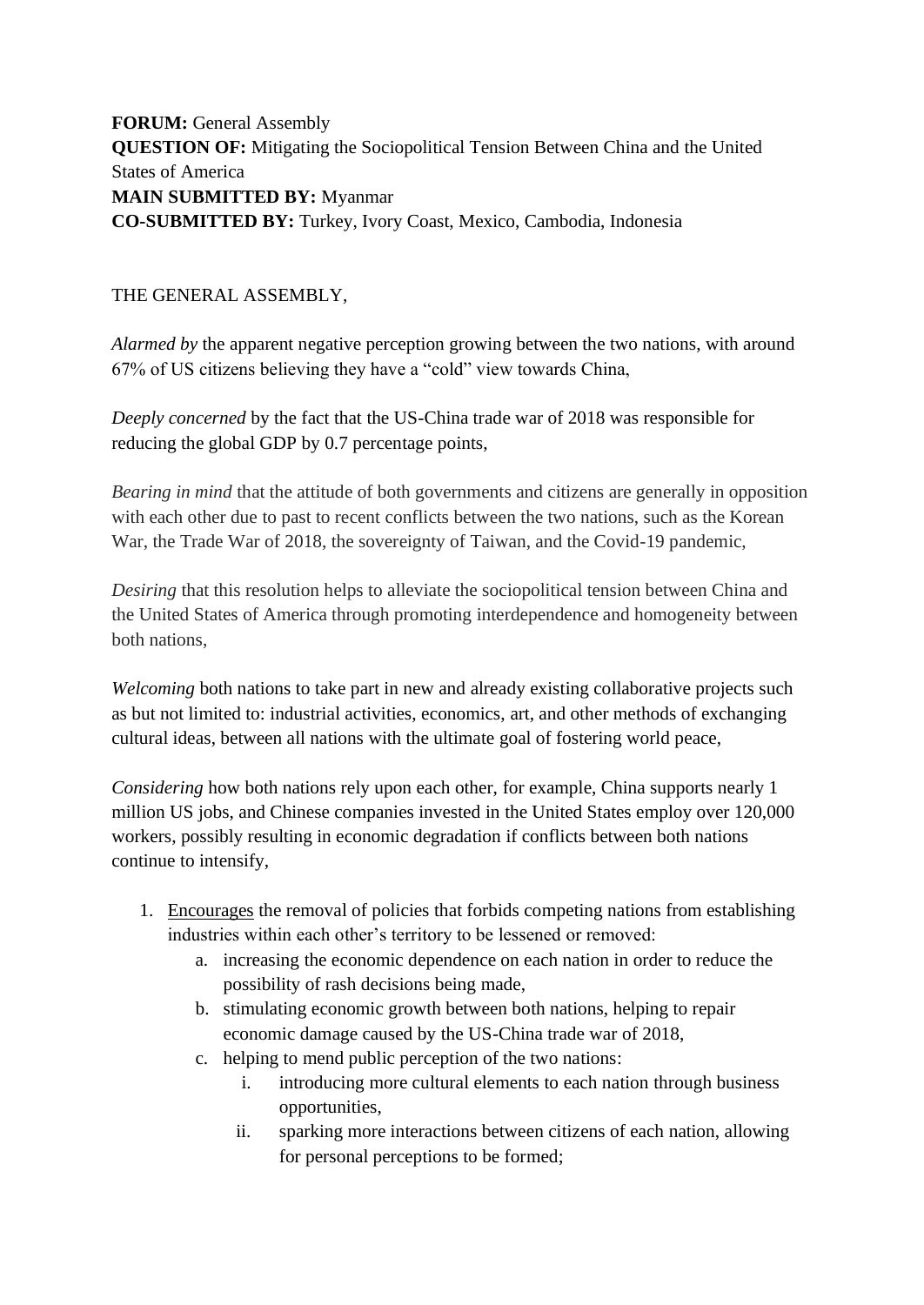**FORUM:** General Assembly **QUESTION OF:** Mitigating the Sociopolitical Tension Between China and the United States of America **MAIN SUBMITTED BY:** Myanmar **CO-SUBMITTED BY:** Turkey, Ivory Coast, Mexico, Cambodia, Indonesia

## THE GENERAL ASSEMBLY,

*Alarmed by* the apparent negative perception growing between the two nations, with around 67% of US citizens believing they have a "cold" view towards China,

*Deeply concerned* by the fact that the US-China trade war of 2018 was responsible for reducing the global GDP by 0.7 percentage points,

*Bearing in mind* that the attitude of both governments and citizens are generally in opposition with each other due to past to recent conflicts between the two nations, such as the Korean War, the Trade War of 2018, the sovereignty of Taiwan, and the Covid-19 pandemic,

*Desiring* that this resolution helps to alleviate the sociopolitical tension between China and the United States of America through promoting interdependence and homogeneity between both nations,

*Welcoming* both nations to take part in new and already existing collaborative projects such as but not limited to: industrial activities, economics, art, and other methods of exchanging cultural ideas, between all nations with the ultimate goal of fostering world peace,

*Considering* how both nations rely upon each other, for example, China supports nearly 1 million US jobs, and Chinese companies invested in the United States employ over 120,000 workers, possibly resulting in economic degradation if conflicts between both nations continue to intensify,

- 1. Encourages the removal of policies that forbids competing nations from establishing industries within each other's territory to be lessened or removed:
	- a. increasing the economic dependence on each nation in order to reduce the possibility of rash decisions being made,
	- b. stimulating economic growth between both nations, helping to repair economic damage caused by the US-China trade war of 2018,
	- c. helping to mend public perception of the two nations:
		- i. introducing more cultural elements to each nation through business opportunities,
		- ii. sparking more interactions between citizens of each nation, allowing for personal perceptions to be formed;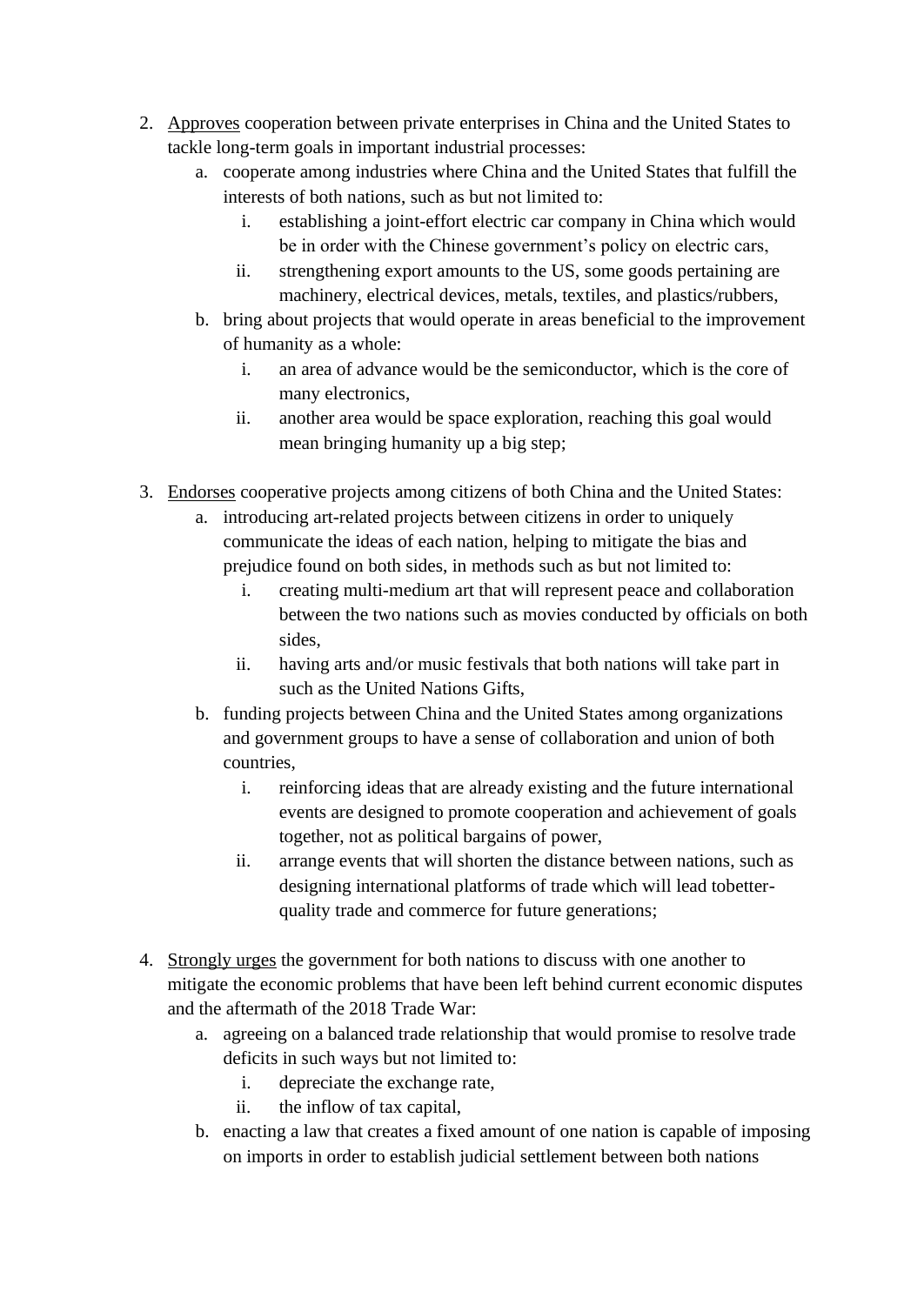- 2. Approves cooperation between private enterprises in China and the United States to tackle long-term goals in important industrial processes:
	- a. cooperate among industries where China and the United States that fulfill the interests of both nations, such as but not limited to:
		- i. establishing a joint-effort electric car company in China which would be in order with the Chinese government's policy on electric cars,
		- ii. strengthening export amounts to the US, some goods pertaining are machinery, electrical devices, metals, textiles, and plastics/rubbers,
	- b. bring about projects that would operate in areas beneficial to the improvement of humanity as a whole:
		- i. an area of advance would be the semiconductor, which is the core of many electronics,
		- ii. another area would be space exploration, reaching this goal would mean bringing humanity up a big step;
- 3. Endorses cooperative projects among citizens of both China and the United States:
	- a. introducing art-related projects between citizens in order to uniquely communicate the ideas of each nation, helping to mitigate the bias and prejudice found on both sides, in methods such as but not limited to:
		- i. creating multi-medium art that will represent peace and collaboration between the two nations such as movies conducted by officials on both sides,
		- ii. having arts and/or music festivals that both nations will take part in such as the United Nations Gifts,
	- b. funding projects between China and the United States among organizations and government groups to have a sense of collaboration and union of both countries,
		- i. reinforcing ideas that are already existing and the future international events are designed to promote cooperation and achievement of goals together, not as political bargains of power,
		- ii. arrange events that will shorten the distance between nations, such as designing international platforms of trade which will lead tobetterquality trade and commerce for future generations;
- 4. Strongly urges the government for both nations to discuss with one another to mitigate the economic problems that have been left behind current economic disputes and the aftermath of the 2018 Trade War:
	- a. agreeing on a balanced trade relationship that would promise to resolve trade deficits in such ways but not limited to:
		- i. depreciate the exchange rate,
		- ii. the inflow of tax capital,
	- b. enacting a law that creates a fixed amount of one nation is capable of imposing on imports in order to establish judicial settlement between both nations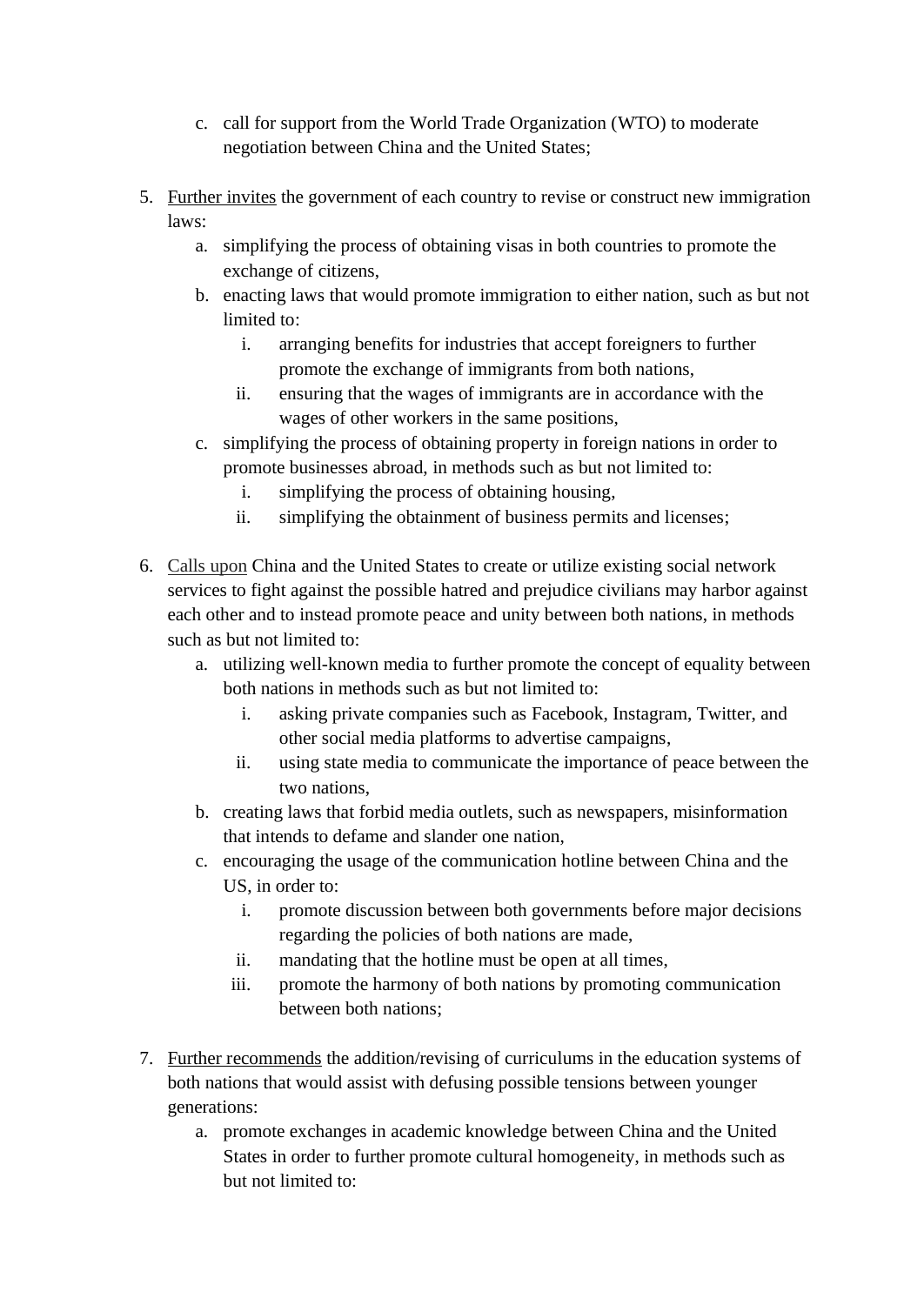- c. call for support from the World Trade Organization (WTO) to moderate negotiation between China and the United States;
- 5. Further invites the government of each country to revise or construct new immigration laws:
	- a. simplifying the process of obtaining visas in both countries to promote the exchange of citizens,
	- b. enacting laws that would promote immigration to either nation, such as but not limited to:
		- i. arranging benefits for industries that accept foreigners to further promote the exchange of immigrants from both nations,
		- ii. ensuring that the wages of immigrants are in accordance with the wages of other workers in the same positions,
	- c. simplifying the process of obtaining property in foreign nations in order to promote businesses abroad, in methods such as but not limited to:
		- i. simplifying the process of obtaining housing,
		- ii. simplifying the obtainment of business permits and licenses;
- 6. Calls upon China and the United States to create or utilize existing social network services to fight against the possible hatred and prejudice civilians may harbor against each other and to instead promote peace and unity between both nations, in methods such as but not limited to:
	- a. utilizing well-known media to further promote the concept of equality between both nations in methods such as but not limited to:
		- i. asking private companies such as Facebook, Instagram, Twitter, and other social media platforms to advertise campaigns,
		- ii. using state media to communicate the importance of peace between the two nations,
	- b. creating laws that forbid media outlets, such as newspapers, misinformation that intends to defame and slander one nation,
	- c. encouraging the usage of the communication hotline between China and the US, in order to:
		- i. promote discussion between both governments before major decisions regarding the policies of both nations are made,
		- ii. mandating that the hotline must be open at all times,
		- iii. promote the harmony of both nations by promoting communication between both nations;
- 7. Further recommends the addition/revising of curriculums in the education systems of both nations that would assist with defusing possible tensions between younger generations:
	- a. promote exchanges in academic knowledge between China and the United States in order to further promote cultural homogeneity, in methods such as but not limited to: